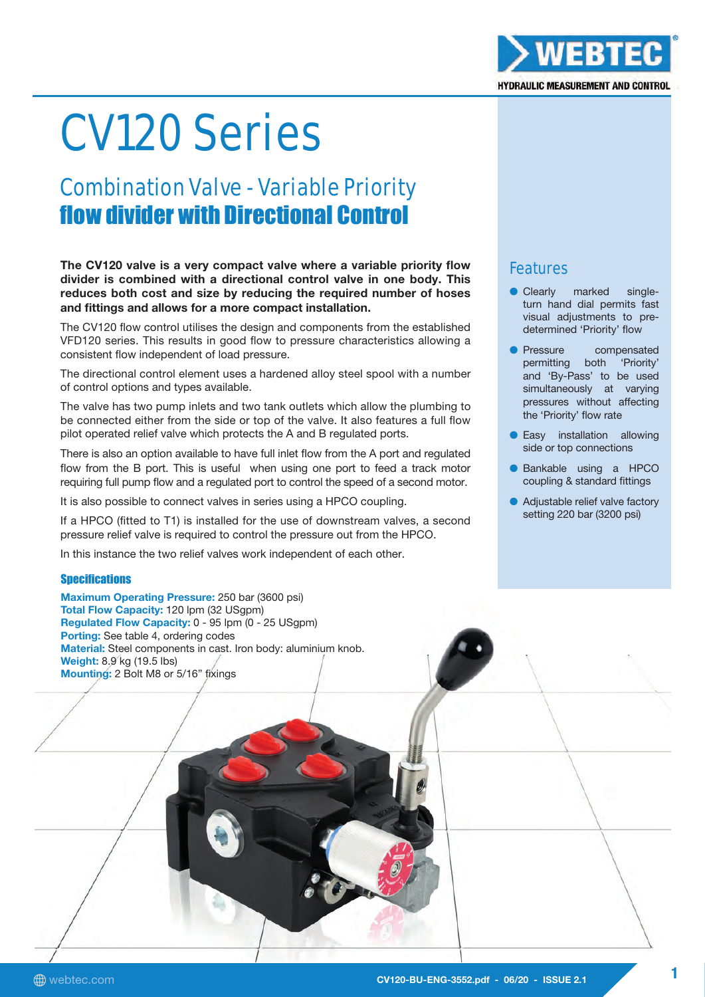### The CV120 valve is a very compact valve where a variable priority flow divider is combined with a directional control valve in one body. This reduces both cost and size by reducing the required number of hoses

The CV120 flow control utilises the design and components from the established VFD120 series. This results in good flow to pressure characteristics allowing a consistent flow independent of load pressure.

and fittings and allows for a more compact installation.

Combination Valve - Variable Priority

flow divider with Directional Control

CV120 Series

The directional control element uses a hardened alloy steel spool with a number of control options and types available.

The valve has two pump inlets and two tank outlets which allow the plumbing to be connected either from the side or top of the valve. It also features a full flow pilot operated relief valve which protects the A and B regulated ports.

There is also an option available to have full inlet flow from the A port and regulated flow from the B port. This is useful when using one port to feed a track motor requiring full pump flow and a regulated port to control the speed of a second motor.

It is also possible to connect valves in series using a HPCO coupling.

If a HPCO (fitted to T1) is installed for the use of downstream valves, a second pressure relief valve is required to control the pressure out from the HPCO.

In this instance the two relief valves work independent of each other.

#### **Specifications**

Maximum Operating Pressure: 250 bar (3600 psi) Total Flow Capacity: 120 lpm (32 USgpm) Regulated Flow Capacity: 0 - 95 lpm (0 - 25 USgpm) Porting: See table 4, ordering codes Material: Steel components in cast. Iron body: aluminium knob. Weight: 8.9 kg (19.5 lbs) Mounting: 2 Bolt M8 or 5/16" fixings

## Features

- Clearly marked singleturn hand dial permits fast visual adjustments to predetermined 'Priority' flow
- Pressure compensated permitting both 'Priority' and 'By-Pass' to be used simultaneously at varying pressures without affecting the 'Priority' flow rate
- Easy installation allowing side or top connections
- Bankable using a HPCO coupling & standard fittings
- Adjustable relief valve factory setting 220 bar (3200 psi)

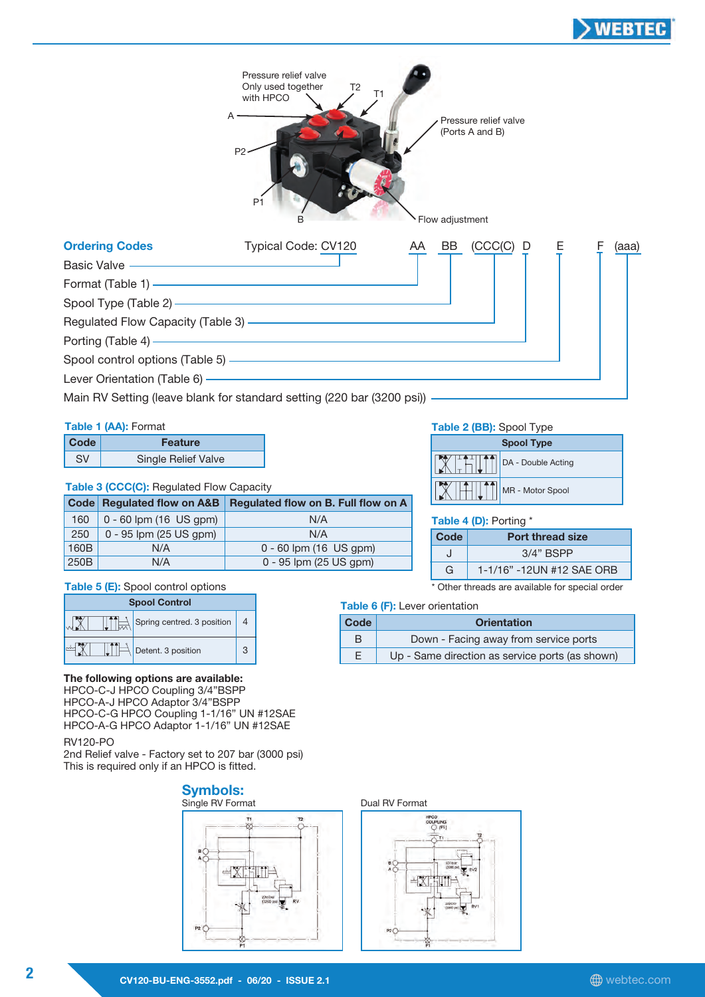



#### Table 1 (AA): Format

| Code | <b>Feature</b>             |  |
|------|----------------------------|--|
| SV.  | <b>Single Relief Valve</b> |  |

#### Table 3 (CCC(C): Regulated Flow Capacity

|      | <b>Code Regulated flow on A&amp;B</b> | Regulated flow on B. Full flow on A |
|------|---------------------------------------|-------------------------------------|
| 160  | $0 - 60$ lpm (16 US gpm)              | N/A                                 |
| 250  | 0 - 95 lpm (25 US gpm)                | N/A                                 |
| 160B | N/A                                   | $0 - 60$ lpm (16 US gpm)            |
| 250B | N/A                                   | 0 - 95 lpm (25 US gpm)              |

4

3

#### Table 2 (BB): Spool Type

| <b>Spool Type</b> |                    |  |
|-------------------|--------------------|--|
|                   | DA - Double Acting |  |
|                   | MR - Motor Spool   |  |

#### Table 4 (D): Porting \*

| Code | <b>Port thread size</b>   |  |
|------|---------------------------|--|
|      | $3/4"$ BSPP               |  |
| G    | 1-1/16" -12UN #12 SAF ORB |  |

\* Other threads are available for special order

## Spool Control **Table 6 (F):** Lever orientation

| Code | <b>Orientation</b>                              |  |
|------|-------------------------------------------------|--|
| B    | Down - Facing away from service ports           |  |
| Е    | Up - Same direction as service ports (as shown) |  |

#### The following options are available:

 $\left|\bigcup_{n=1}^{n} \right|$  Detent. 3 position

Table 5 (E): Spool control options

 $\left|\prod_{i=1}^{n} \right|$  Spring centred. 3 position

HPCO-C-J HPCO Coupling 3/4"BSPP HPCO-A-J HPCO Adaptor 3/4"BSPP HPCO-C-G HPCO Coupling 1-1/16" UN #12SAE HPCO-A-G HPCO Adaptor 1-1/16" UN #12SAE

RV120-PO

JX

-X1

2nd Relief valve - Factory set to 207 bar (3000 psi) This is required only if an HPCO is fitted.



#### Dual RV Format

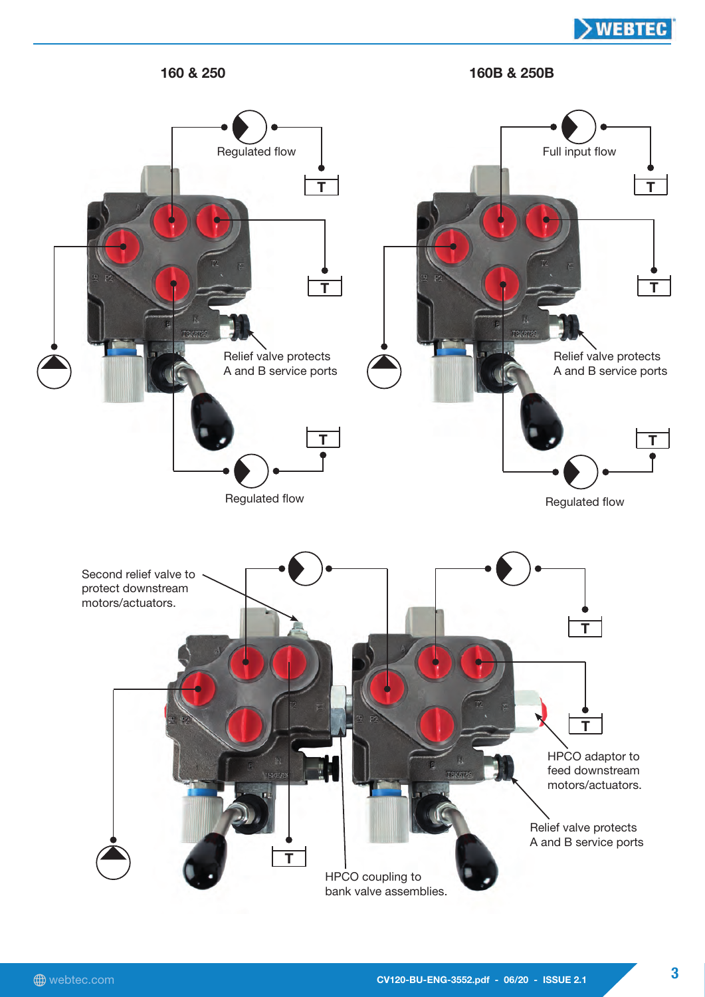